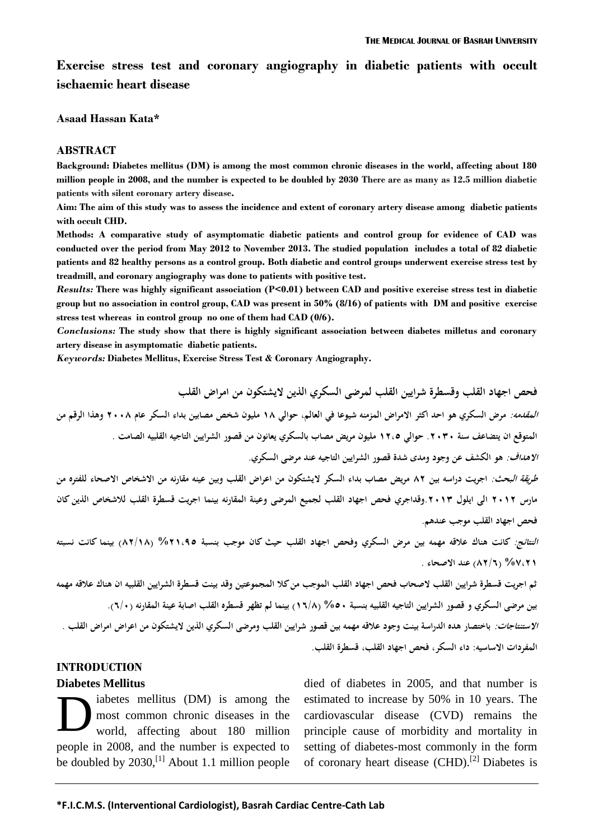**Exercise stress test and coronary angiography in diabetic patients with occult ischaemic heart disease**

**Asaad Hassan Kata\***

#### **ABSTRACT**

**Background: Diabetes mellitus (DM) is among the most common chronic diseases in the world, affecting about 180 million people in 2008, and the number is expected to be doubled by 2030 There are as many as 12.5 million diabetic patients with silent coronary artery disease.**

**Aim: The aim of this study was to assess the incidence and extent of coronary artery disease among diabetic patients with occult CHD.** 

**Methods: A comparative study of asymptomatic diabetic patients and control group for evidence of CAD was conducted over the period from May 2012 to November 2013. The studied population includes a total of 82 diabetic patients and 82 healthy persons as a control group. Both diabetic and control groups underwent exercise stress test by treadmill, and coronary angiography was done to patients with positive test.**

*Results:* **There was highly significant association (P<0.01) between CAD and positive exercise stress test in diabetic group but no association in control group, CAD was present in 50% (8/16) of patients with DM and positive exercise stress test whereas in control group no one of them had CAD (0/6).** 

*Conclusions:* **The study show that there is highly significant association between diabetes milletus and coronary artery disease in asymptomatic diabetic patients.**

*Keywords:* **Diabetes Mellitus, Exercise Stress Test & Coronary Angiography.** 

**فحص اجهاد القلب وقسطرة شرايين القلب لمرضى السكري الذين اليشتكون من امراض القلب المقدمه: مرض السكري هو احد اكثر االمراض المزمنه شيوعا في العالم, حوالي 81 مليون شخص مصابين بداء السكر عام 8001 وهذا الرقم من المتوقع ان يتضاعف سنة .8000 حوالي 88,5 مليون مريض مصاب بالسكري يعانو ن من قصور الشرايين التاجيه القلبيه الصامت . االهداف: هو الكشف عن وجود ومدى شدة قصور الشرايين التاجيه عند مرضى السكري. طريقة البحث: اجريت دراسه بين 18 مريض مصاب بداء السكر اليشتكون من اعراض القلب وبين عينه مقارنه من االشخاص االصحاء للفتره من مارس 8088 الى ايلول .8080وقداجري فحص اجهاد القلب لجميع المرضى و عينة المقارنه بينما اجريت قسطرة القلب لالشخاص الذين كان فحص اجهاد القلب موجب عندهم. النتائج: كانت هناك عالقه مهمه بين مرض السكري وفحص اجهاد القلب حيث كان موجب بنسبة %88,15 )18/81( بينما كانت نسبته** 

**%1,88 )18/6( عند االصحاء .**

**ثم اجريت قسطرة شرايين القلب الصحاب فحص اجهاد القلب الموجب من كال المجموعتين وقد بينت قسطرة الشرايين القلبيه ان هناك عالقه مهمه بين مرضى السكري و قصور الشرايين التاجيه القلبيه بنسبة %50 )86/1( بينما لم تظهر قسطره القلب اصابة عينة المقارنه )6/0(. االستنتاجات: باختصار هده الدراسة بينت وجود عالقه مهمه بين قصور شرايين القلب ومرضى السكري الذين اليشتكون من اعراض امراض القلب . المفردات االساسيه: داء السكر, فحص اجهاد القلب, قسطرة القلب.**

## **INTRODUCTION**

#### **Diabetes Mellitus**

iabetes mellitus (DM) is among the most common chronic diseases in the world, affecting about 180 million people in 2008, and the number is expected to be doubled by  $2030$ ,<sup>[1]</sup> About 1.1 million people D

died of diabetes in 2005, and that number is estimated to increase by 50% in 10 years. The cardiovascular disease (CVD) remains the principle cause of morbidity and mortality in setting of diabetes-most commonly in the form of coronary heart disease (CHD).<sup>[2]</sup> Diabetes is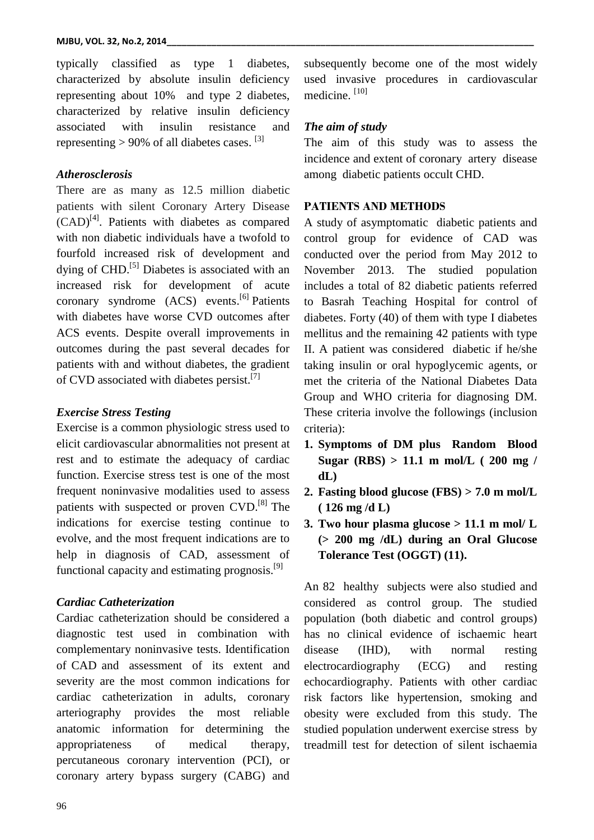typically classified as type 1 diabetes, characterized by absolute insulin deficiency representing about 10% and type 2 diabetes, characterized by relative insulin deficiency associated with insulin resistance and representing  $> 90\%$  of all diabetes cases. <sup>[3]</sup>

### *Atherosclerosis*

There are as many as 12.5 million diabetic patients with silent Coronary Artery Disease (CAD) [4] . Patients with diabetes as compared with non diabetic individuals have a twofold to fourfold increased risk of development and dying of CHD.<sup>[5]</sup> Diabetes is associated with an increased risk for development of acute coronary syndrome (ACS) events.<sup>[6]</sup> Patients with diabetes have worse CVD outcomes after ACS events. Despite overall improvements in outcomes during the past several decades for patients with and without diabetes, the gradient of CVD associated with diabetes persist.<sup>[7]</sup>

# *Exercise Stress Testing*

Exercise is a common physiologic stress used to elicit cardiovascular abnormalities not present at rest and to estimate the adequacy of cardiac function. Exercise stress test is one of the most frequent noninvasive modalities used to assess patients with suspected or proven CVD.<sup>[8]</sup> The indications for exercise testing continue to evolve, and the most frequent indications are to help in diagnosis of CAD, assessment of functional capacity and estimating prognosis. $[9]$ 

### *Cardiac Catheterization*

Cardiac catheterization should be considered a diagnostic test used in combination with complementary noninvasive tests. Identification of CAD and assessment of its extent and severity are the most common indications for cardiac catheterization in adults, coronary arteriography provides the most reliable anatomic information for determining the appropriateness of medical therapy, percutaneous coronary intervention (PCI), or coronary artery bypass surgery (CABG) and

subsequently become one of the most widely used invasive procedures in cardiovascular medicine.<sup>[10]</sup>

# *The aim of study*

The aim of this study was to assess the incidence and extent of coronary artery disease among diabetic patients occult CHD.

### **PATIENTS AND METHODS**

A study of asymptomatic diabetic patients and control group for evidence of CAD was conducted over the period from May 2012 to November 2013. The studied population includes a total of 82 diabetic patients referred to Basrah Teaching Hospital for control of diabetes. Forty (40) of them with type I diabetes mellitus and the remaining 42 patients with type II. A patient was considered diabetic if he/she taking insulin or oral hypoglycemic agents, or met the criteria of the National Diabetes Data Group and WHO criteria for diagnosing DM. These criteria involve the followings (inclusion criteria):

- **1. Symptoms of DM plus Random Blood Sugar (RBS) > 11.1 m mol/L ( 200 mg / dL)**
- **2. Fasting blood glucose (FBS) > 7.0 m mol/L ( 126 mg /d L)**
- **3. Two hour plasma glucose > 11.1 m mol/ L (> 200 mg /dL) during an Oral Glucose Tolerance Test (OGGT) (11).**

An 82 healthy subjects were also studied and considered as control group. The studied population (both diabetic and control groups) has no clinical evidence of ischaemic heart disease (IHD), with normal resting electrocardiography (ECG) and resting echocardiography. Patients with other cardiac risk factors like hypertension, smoking and obesity were excluded from this study. The studied population underwent exercise stress by treadmill test for detection of silent ischaemia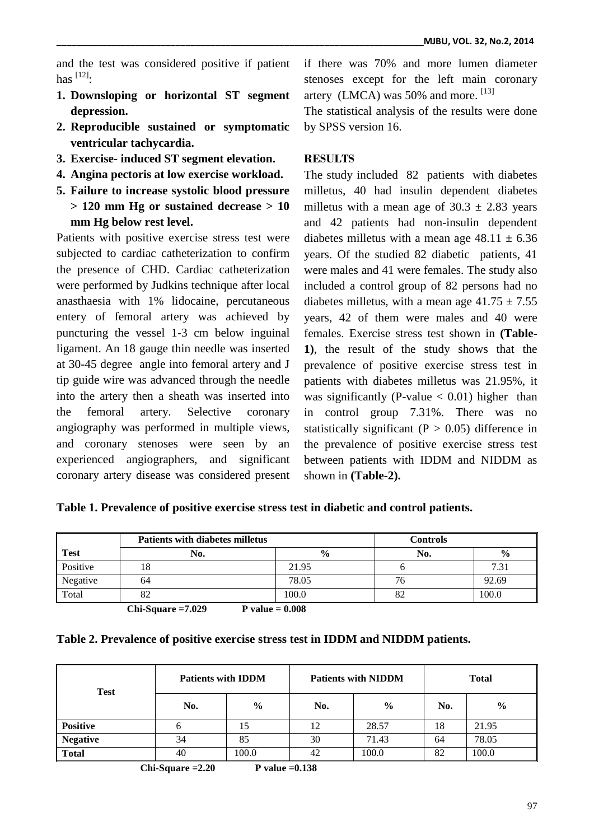and the test was considered positive if patient has [12] :

- **1. Downsloping or horizontal ST segment depression.**
- **2. Reproducible sustained or symptomatic ventricular tachycardia.**
- **3. Exercise- induced ST segment elevation.**
- **4. Angina pectoris at low exercise workload.**
- **5. Failure to increase systolic blood pressure > 120 mm Hg or sustained decrease > 10 mm Hg below rest level.**

Patients with positive exercise stress test were subjected to cardiac catheterization to confirm the presence of CHD. Cardiac catheterization were performed by Judkins technique after local anasthaesia with 1% lidocaine, percutaneous entery of femoral artery was achieved by puncturing the vessel 1-3 cm below inguinal ligament. An 18 gauge thin needle was inserted at 30-45 degree angle into femoral artery and J tip guide wire was advanced through the needle into the artery then a sheath was inserted into the femoral artery. Selective coronary angiography was performed in multiple views, and coronary stenoses were seen by an experienced angiographers, and significant coronary artery disease was considered present

if there was 70% and more lumen diameter stenoses except for the left main coronary artery (LMCA) was  $50\%$  and more.  $^{[13]}$ 

The statistical analysis of the results were done by SPSS version 16.

# **RESULTS**

The study included 82 patients with diabetes milletus, 40 had insulin dependent diabetes milletus with a mean age of  $30.3 \pm 2.83$  years and 42 patients had non-insulin dependent diabetes milletus with a mean age  $48.11 \pm 6.36$ years. Of the studied 82 diabetic patients, 41 were males and 41 were females. The study also included a control group of 82 persons had no diabetes milletus, with a mean age  $41.75 \pm 7.55$ years, 42 of them were males and 40 were females. Exercise stress test shown in **(Table-1)**, the result of the study shows that the prevalence of positive exercise stress test in patients with diabetes milletus was 21.95%, it was significantly (P-value  $< 0.01$ ) higher than in control group 7.31%. There was no statistically significant ( $P > 0.05$ ) difference in the prevalence of positive exercise stress test between patients with IDDM and NIDDM as shown in **(Table-2).**

|             | <b>Patients with diabetes milletus</b> |               | <b>Controls</b> |               |
|-------------|----------------------------------------|---------------|-----------------|---------------|
| <b>Test</b> | No.                                    | $\frac{6}{6}$ | No.             | $\frac{0}{0}$ |
| Positive    | ۱õ                                     | 21.95         |                 | 7.31          |
| Negative    | 64                                     | 78.05         | 76              | 92.69         |
| Total       | റ<br>٥Ž                                | 100.0         |                 | 100.0         |

 **Chi-Square =7.029 P value = 0.008** 

| Table 2. Prevalence of positive exercise stress test in IDDM and NIDDM patients. |  |  |  |
|----------------------------------------------------------------------------------|--|--|--|
|                                                                                  |  |  |  |

| <b>Test</b>     | <b>Patients with IDDM</b> |               |     | <b>Patients with NIDDM</b> | <b>Total</b> |               |  |
|-----------------|---------------------------|---------------|-----|----------------------------|--------------|---------------|--|
|                 | No.                       | $\frac{6}{9}$ | No. | $\frac{0}{0}$              | No.          | $\frac{6}{6}$ |  |
| <b>Positive</b> |                           | 15            | 12  | 28.57                      | 18           | 21.95         |  |
| <b>Negative</b> | 34                        | 85            | 30  | 71.43                      | 64           | 78.05         |  |
| <b>Total</b>    | 40                        | 100.0         | 42  | 100.0                      | 82           | 100.0         |  |

**Chi-Square =2.20 P value =0.138**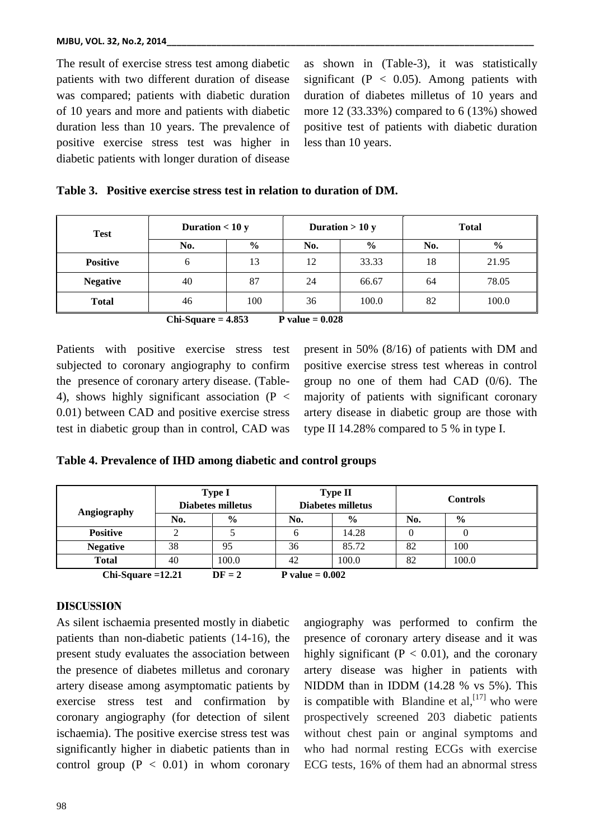The result of exercise stress test among diabetic patients with two different duration of disease was compared; patients with diabetic duration of 10 years and more and patients with diabetic duration less than 10 years. The prevalence of positive exercise stress test was higher in diabetic patients with longer duration of disease

as shown in (Table-3), it was statistically significant ( $P < 0.05$ ). Among patients with duration of diabetes milletus of 10 years and more 12 (33.33%) compared to 6 (13%) showed positive test of patients with diabetic duration less than 10 years.

|  |  | Table 3. Positive exercise stress test in relation to duration of DM. |  |  |  |  |  |
|--|--|-----------------------------------------------------------------------|--|--|--|--|--|
|--|--|-----------------------------------------------------------------------|--|--|--|--|--|

| <b>Test</b>     | Duration $< 10 y$ |               |     | Duration $> 10 y$ | <b>Total</b> |               |  |
|-----------------|-------------------|---------------|-----|-------------------|--------------|---------------|--|
|                 | No.               | $\frac{6}{9}$ | No. | $\frac{6}{6}$     | No.          | $\frac{6}{6}$ |  |
| <b>Positive</b> | 6                 | 13            | 12  | 33.33             | 18           | 21.95         |  |
| <b>Negative</b> | 40                | 87            | 24  | 66.67             | 64           | 78.05         |  |
| <b>Total</b>    | 46                | 100           | 36  | 100.0             | 82           | 100.0         |  |

 **Chi-Square = 4.853 P value = 0.028** 

Patients with positive exercise stress test subjected to coronary angiography to confirm the presence of coronary artery disease. (Table-4), shows highly significant association ( $P \lt \theta$ 0.01) between CAD and positive exercise stress test in diabetic group than in control, CAD was present in 50% (8/16) of patients with DM and positive exercise stress test whereas in control group no one of them had CAD (0/6). The majority of patients with significant coronary artery disease in diabetic group are those with type II 14.28% compared to 5 % in type I.

**Table 4. Prevalence of IHD among diabetic and control groups**

|                 | <b>Type I</b><br><b>Diabetes milletus</b>                                   |               |     | <b>Type II</b><br><b>Diabetes milletus</b> |     | <b>Controls</b> |  |  |
|-----------------|-----------------------------------------------------------------------------|---------------|-----|--------------------------------------------|-----|-----------------|--|--|
| Angiography     | No.                                                                         | $\frac{0}{0}$ | No. | $\frac{0}{0}$                              | No. | $\frac{0}{0}$   |  |  |
| <b>Positive</b> |                                                                             |               |     | 14.28                                      |     |                 |  |  |
| <b>Negative</b> | 38                                                                          | 95            | 36  | 85.72                                      | 82  | 100             |  |  |
| <b>Total</b>    | 40                                                                          | 100.0         | 42  | 100.0                                      | 82  | 100.0           |  |  |
|                 | $\mathbf{D} \mathbf{E}$ $\mathbf{A}$<br>$C1.1 C$ $10.11$<br>$P = 1 - 0.002$ |               |     |                                            |     |                 |  |  |

**Chi-Square =12.21**  $DF = 2$  P value = 0.002

## **DISCUSSION**

As silent ischaemia presented mostly in diabetic patients than non-diabetic patients (14-16), the present study evaluates the association between the presence of diabetes milletus and coronary artery disease among asymptomatic patients by exercise stress test and confirmation by coronary angiography (for detection of silent ischaemia). The positive exercise stress test was significantly higher in diabetic patients than in control group  $(P < 0.01)$  in whom coronary

angiography was performed to confirm the presence of coronary artery disease and it was highly significant ( $P < 0.01$ ), and the coronary artery disease was higher in patients with NIDDM than in IDDM (14.28 % vs 5%). This is compatible with Blandine et al,  $^{[17]}$  who were prospectively screened 203 diabetic patients without chest pain or anginal symptoms and who had normal resting ECGs with exercise ECG tests, 16% of them had an abnormal stress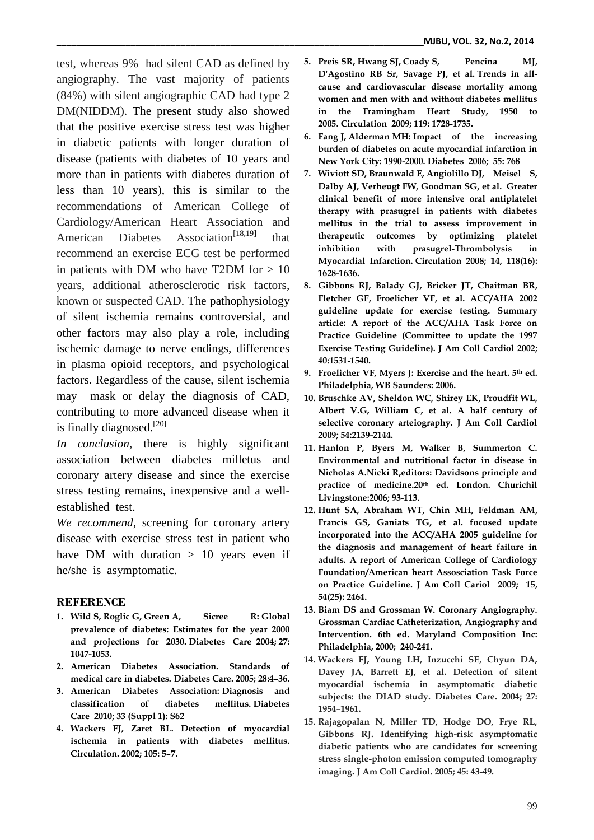test, whereas 9% had silent CAD as defined by angiography. The vast majority of patients (84%) with silent angiographic CAD had type 2 DM(NIDDM). The present study also showed that the positive exercise stress test was higher in diabetic patients with longer duration of disease (patients with diabetes of 10 years and more than in patients with diabetes duration of less than 10 years), this is similar to the recommendations of American College of Cardiology/American Heart Association and American Diabetes Association<sup>[\[18,19\]](http://www.circ.ahajournals.org/content/113/4/583.full#ref-1)</sup> that recommend an exercise ECG test be performed in patients with DM who have T2DM for  $> 10$ years, additional atherosclerotic risk factors, known or suspected CAD. The pathophysiology of silent ischemia remains controversial, and other factors may also play a role, including ischemic damage to nerve endings, differences in plasma opioid receptors, and psychological factors. Regardless of the cause, silent ischemia may mask or delay the diagnosis of CAD, contributing to more advanced disease when it is finally diagnosed.<sup>[20]</sup>

*In conclusion,* there is highly significant association between diabetes milletus and coronary artery disease and since the exercise stress testing remains, inexpensive and a wellestablished test.

*We recommend*, screening for coronary artery disease with exercise stress test in patient who have DM with duration  $> 10$  years even if he/she is asymptomatic.

## **REFERENCE**

- **1. Wild S, Roglic G, Green A, Sicree R: [Global](http://www.expertconsultbook.com/expertconsult/p/linkTo?type=journalArticle&isbn=978-1-4377-0398-6&title=Global+prevalence+of+diabetes%3A+Estimates+for+the+year+2000+and+projections+for+2030&author=Wild%C2%A0S+Roglic%C2%A0G+Green%C2%A0A&date=2004&volume=27&issue=&firstPage=1047&shortTitle=Diabetes%20Care)  [prevalence of diabetes: Estimates for the year 2000](http://www.expertconsultbook.com/expertconsult/p/linkTo?type=journalArticle&isbn=978-1-4377-0398-6&title=Global+prevalence+of+diabetes%3A+Estimates+for+the+year+2000+and+projections+for+2030&author=Wild%C2%A0S+Roglic%C2%A0G+Green%C2%A0A&date=2004&volume=27&issue=&firstPage=1047&shortTitle=Diabetes%20Care)  [and projections for 2030.](http://www.expertconsultbook.com/expertconsult/p/linkTo?type=journalArticle&isbn=978-1-4377-0398-6&title=Global+prevalence+of+diabetes%3A+Estimates+for+the+year+2000+and+projections+for+2030&author=Wild%C2%A0S+Roglic%C2%A0G+Green%C2%A0A&date=2004&volume=27&issue=&firstPage=1047&shortTitle=Diabetes%20Care) Diabetes Care 2004; 27: 1047-1053.**
- **2. American Diabetes Association. Standards of medical care in diabetes. Diabetes Care. 2005; 28:4–36.**
- **3. American Diabetes Association: [Diagnosis and](http://www.expertconsultbook.com/expertconsult/p/linkTo?type=journalArticle&isbn=978-1-4377-0398-6&title=Diagnosis+and+classification+of+diabetes+mellitus&author=American+Diabetes+Association%C2%A0&date=2010&volume=33&issue=Suppl%201&firstPage=S62&shortTitle=Diabetes%20Care)  [classification of diabetes mellitus.](http://www.expertconsultbook.com/expertconsult/p/linkTo?type=journalArticle&isbn=978-1-4377-0398-6&title=Diagnosis+and+classification+of+diabetes+mellitus&author=American+Diabetes+Association%C2%A0&date=2010&volume=33&issue=Suppl%201&firstPage=S62&shortTitle=Diabetes%20Care) Diabetes Care 2010; 33 (Suppl 1): S62**
- **4. Wackers FJ, Zaret BL. Detection of myocardial ischemia in patients with diabetes mellitus. Circulation. 2002; 105: 5–7.**
- **5. Preis SR, Hwang SJ, Coady S, Pencina MJ, D'Agostino RB Sr, Savage PJ, et al. [Trends in all](http://www.expertconsultbook.com/expertconsult/p/linkTo?type=journalArticle&isbn=978-1-4377-0398-6&title=Trends+in+all-cause+and+cardiovascular+disease+mortality+among+women+and+men+with+and+without+diabetes+mellitus+in+the+Framingham+Heart+Study%2C+1950+to+2005&author=Preis%C2%A0SR+Hwang%C2%A0SJ+Coady%C2%A0S&date=2009&volume=119&issue=&firstPage=1728&shortTitle=Circulation)[cause and cardiovascular disease mortality among](http://www.expertconsultbook.com/expertconsult/p/linkTo?type=journalArticle&isbn=978-1-4377-0398-6&title=Trends+in+all-cause+and+cardiovascular+disease+mortality+among+women+and+men+with+and+without+diabetes+mellitus+in+the+Framingham+Heart+Study%2C+1950+to+2005&author=Preis%C2%A0SR+Hwang%C2%A0SJ+Coady%C2%A0S&date=2009&volume=119&issue=&firstPage=1728&shortTitle=Circulation)  [women and men with and without diabetes mellitus](http://www.expertconsultbook.com/expertconsult/p/linkTo?type=journalArticle&isbn=978-1-4377-0398-6&title=Trends+in+all-cause+and+cardiovascular+disease+mortality+among+women+and+men+with+and+without+diabetes+mellitus+in+the+Framingham+Heart+Study%2C+1950+to+2005&author=Preis%C2%A0SR+Hwang%C2%A0SJ+Coady%C2%A0S&date=2009&volume=119&issue=&firstPage=1728&shortTitle=Circulation)  [in the Framingham Heart Study, 1950 to](http://www.expertconsultbook.com/expertconsult/p/linkTo?type=journalArticle&isbn=978-1-4377-0398-6&title=Trends+in+all-cause+and+cardiovascular+disease+mortality+among+women+and+men+with+and+without+diabetes+mellitus+in+the+Framingham+Heart+Study%2C+1950+to+2005&author=Preis%C2%A0SR+Hwang%C2%A0SJ+Coady%C2%A0S&date=2009&volume=119&issue=&firstPage=1728&shortTitle=Circulation)  [2005.](http://www.expertconsultbook.com/expertconsult/p/linkTo?type=journalArticle&isbn=978-1-4377-0398-6&title=Trends+in+all-cause+and+cardiovascular+disease+mortality+among+women+and+men+with+and+without+diabetes+mellitus+in+the+Framingham+Heart+Study%2C+1950+to+2005&author=Preis%C2%A0SR+Hwang%C2%A0SJ+Coady%C2%A0S&date=2009&volume=119&issue=&firstPage=1728&shortTitle=Circulation) Circulation 2009; 119: 1728-1735.**
- **6. Fang J, Alderman MH: [Impact of the increasing](http://www.expertconsultbook.com/expertconsult/p/linkTo?type=journalArticle&isbn=978-1-4377-0398-6&title=Impact+of+the+increasing+burden+of+diabetes+on+acute+myocardial+infarction+in+New+York+City%3A+1990-2000&author=Fang%C2%A0J+Alderman%C2%A0MH&date=2006&volume=55&issue=&firstPage=768&shortTitle=Diabetes)  [burden of diabetes on acute myocardial infarction in](http://www.expertconsultbook.com/expertconsult/p/linkTo?type=journalArticle&isbn=978-1-4377-0398-6&title=Impact+of+the+increasing+burden+of+diabetes+on+acute+myocardial+infarction+in+New+York+City%3A+1990-2000&author=Fang%C2%A0J+Alderman%C2%A0MH&date=2006&volume=55&issue=&firstPage=768&shortTitle=Diabetes)  [New York City: 1990-2000.](http://www.expertconsultbook.com/expertconsult/p/linkTo?type=journalArticle&isbn=978-1-4377-0398-6&title=Impact+of+the+increasing+burden+of+diabetes+on+acute+myocardial+infarction+in+New+York+City%3A+1990-2000&author=Fang%C2%A0J+Alderman%C2%A0MH&date=2006&volume=55&issue=&firstPage=768&shortTitle=Diabetes) Diabetes 2006; 55: 768**
- **7. Wiviott SD, Braunwald E, Angiolillo DJ, [Meisel S,](http://www.ncbi.nlm.nih.gov/pubmed/?term=Meisel%20S%5BAuthor%5D&cauthor=true&cauthor_uid=18757948)  [Dalby AJ,](http://www.ncbi.nlm.nih.gov/pubmed/?term=Dalby%20AJ%5BAuthor%5D&cauthor=true&cauthor_uid=18757948) [Verheugt FW,](http://www.ncbi.nlm.nih.gov/pubmed/?term=Verheugt%20FW%5BAuthor%5D&cauthor=true&cauthor_uid=18757948) [Goodman SG,](http://www.ncbi.nlm.nih.gov/pubmed/?term=Goodman%20SG%5BAuthor%5D&cauthor=true&cauthor_uid=18757948) et al. [Greater](http://www.expertconsultbook.com/expertconsult/p/linkTo?type=journalArticle&isbn=978-1-4377-0398-6&title=Greater+clinical+benefit+of+more+intensive+oral+antiplatelet+therapy+with+prasugrel+in+patients+with+diabetes+mellitus+in+the+trial+to+assess+improvement+in+therapeutic+outcomes+by+optimizing+platelet+inhibition+with+prasugrel%E2%80%93Thrombolysis+in+Myocardial+Infarction+38&author=Wiviott%C2%A0SD+Braunwald%C2%A0E+Angiolillo%C2%A0DJ&date=2008&volume=118&issue=&firstPage=1626&shortTitle=Circulation)  [clinical benefit of more intensive oral antiplatelet](http://www.expertconsultbook.com/expertconsult/p/linkTo?type=journalArticle&isbn=978-1-4377-0398-6&title=Greater+clinical+benefit+of+more+intensive+oral+antiplatelet+therapy+with+prasugrel+in+patients+with+diabetes+mellitus+in+the+trial+to+assess+improvement+in+therapeutic+outcomes+by+optimizing+platelet+inhibition+with+prasugrel%E2%80%93Thrombolysis+in+Myocardial+Infarction+38&author=Wiviott%C2%A0SD+Braunwald%C2%A0E+Angiolillo%C2%A0DJ&date=2008&volume=118&issue=&firstPage=1626&shortTitle=Circulation)  [therapy with prasugrel in patients with diabetes](http://www.expertconsultbook.com/expertconsult/p/linkTo?type=journalArticle&isbn=978-1-4377-0398-6&title=Greater+clinical+benefit+of+more+intensive+oral+antiplatelet+therapy+with+prasugrel+in+patients+with+diabetes+mellitus+in+the+trial+to+assess+improvement+in+therapeutic+outcomes+by+optimizing+platelet+inhibition+with+prasugrel%E2%80%93Thrombolysis+in+Myocardial+Infarction+38&author=Wiviott%C2%A0SD+Braunwald%C2%A0E+Angiolillo%C2%A0DJ&date=2008&volume=118&issue=&firstPage=1626&shortTitle=Circulation)  [mellitus in the trial to assess improvement in](http://www.expertconsultbook.com/expertconsult/p/linkTo?type=journalArticle&isbn=978-1-4377-0398-6&title=Greater+clinical+benefit+of+more+intensive+oral+antiplatelet+therapy+with+prasugrel+in+patients+with+diabetes+mellitus+in+the+trial+to+assess+improvement+in+therapeutic+outcomes+by+optimizing+platelet+inhibition+with+prasugrel%E2%80%93Thrombolysis+in+Myocardial+Infarction+38&author=Wiviott%C2%A0SD+Braunwald%C2%A0E+Angiolillo%C2%A0DJ&date=2008&volume=118&issue=&firstPage=1626&shortTitle=Circulation)  [therapeutic outcomes by optimizing platelet](http://www.expertconsultbook.com/expertconsult/p/linkTo?type=journalArticle&isbn=978-1-4377-0398-6&title=Greater+clinical+benefit+of+more+intensive+oral+antiplatelet+therapy+with+prasugrel+in+patients+with+diabetes+mellitus+in+the+trial+to+assess+improvement+in+therapeutic+outcomes+by+optimizing+platelet+inhibition+with+prasugrel%E2%80%93Thrombolysis+in+Myocardial+Infarction+38&author=Wiviott%C2%A0SD+Braunwald%C2%A0E+Angiolillo%C2%A0DJ&date=2008&volume=118&issue=&firstPage=1626&shortTitle=Circulation)  [inhibition with prasugrel-Thrombolysis in](http://www.expertconsultbook.com/expertconsult/p/linkTo?type=journalArticle&isbn=978-1-4377-0398-6&title=Greater+clinical+benefit+of+more+intensive+oral+antiplatelet+therapy+with+prasugrel+in+patients+with+diabetes+mellitus+in+the+trial+to+assess+improvement+in+therapeutic+outcomes+by+optimizing+platelet+inhibition+with+prasugrel%E2%80%93Thrombolysis+in+Myocardial+Infarction+38&author=Wiviott%C2%A0SD+Braunwald%C2%A0E+Angiolillo%C2%A0DJ&date=2008&volume=118&issue=&firstPage=1626&shortTitle=Circulation)  [Myocardial Infarction.](http://www.expertconsultbook.com/expertconsult/p/linkTo?type=journalArticle&isbn=978-1-4377-0398-6&title=Greater+clinical+benefit+of+more+intensive+oral+antiplatelet+therapy+with+prasugrel+in+patients+with+diabetes+mellitus+in+the+trial+to+assess+improvement+in+therapeutic+outcomes+by+optimizing+platelet+inhibition+with+prasugrel%E2%80%93Thrombolysis+in+Myocardial+Infarction+38&author=Wiviott%C2%A0SD+Braunwald%C2%A0E+Angiolillo%C2%A0DJ&date=2008&volume=118&issue=&firstPage=1626&shortTitle=Circulation) Circulation 2008; 14, 118(16): 1628-1636.**
- **8. Gibbons RJ, Balady GJ, Bricker JT, [Chaitman BR,](http://www.ncbi.nlm.nih.gov/pubmed/?term=Chaitman%20BR%5BAuthor%5D&cauthor=true&cauthor_uid=12356646)  [Fletcher GF,](http://www.ncbi.nlm.nih.gov/pubmed/?term=Fletcher%20GF%5BAuthor%5D&cauthor=true&cauthor_uid=12356646) [Froelicher VF,](http://www.ncbi.nlm.nih.gov/pubmed/?term=Froelicher%20VF%5BAuthor%5D&cauthor=true&cauthor_uid=12356646) et al. ACC/AHA 2002 guideline update for exercise testing. Summary article: A report of the ACC/AHA Task Force on Practice Guideline (Committee to update the 1997 Exercise Testing Guideline). J Am Coll Cardiol 2002; 40:1531-1540.**
- **9. Froelicher VF, Myers J: Exercise and the heart. 5th ed. Philadelphia, WB Saunders: 2006.**
- **10. Bruschke AV, Sheldon WC, Shirey EK, Proudfit WL, Albert V.G, William C, et al. A half century of selective coronary arteiography. J Am Coll Cardiol 2009; 54:2139-2144.**
- **11. Hanlon P, Byers M, Walker B, Summerton C. Environmental and nutritional factor in disease in Nicholas A.Nicki R,editors: Davidsons principle and practice of medicine.20th ed. London. Churichil Livingstone:2006; 93-113.**
- **12. Hunt SA, Abraham WT, Chin MH, [Feldman AM,](http://www.ncbi.nlm.nih.gov/pubmed/?term=Feldman%20AM%5BAuthor%5D&cauthor=true&cauthor_uid=19358937)  [Francis GS,](http://www.ncbi.nlm.nih.gov/pubmed/?term=Francis%20GS%5BAuthor%5D&cauthor=true&cauthor_uid=19358937) [Ganiats TG,](http://www.ncbi.nlm.nih.gov/pubmed/?term=Ganiats%20TG%5BAuthor%5D&cauthor=true&cauthor_uid=19358937) et al. focused update incorporated into the ACC/AHA 2005 guideline for the diagnosis and management of heart failure in adults. A report of American College of Cardiology Foundation/American heart Assosciation Task Force on Practice Guideline. J Am Coll Cariol 2009; 15, 54(25): 2464.**
- **13. Biam DS and Grossman W. Coronary Angiography. Grossman Cardiac Catheterization, Angiography and Intervention. 6th ed. Maryland Composition Inc: Philadelphia, 2000; 240-241.**
- **14. Wackers FJ, Young LH, Inzucchi SE, Chyun DA, Davey JA, Barrett EJ, et al. Detection of silent myocardial ischemia in asymptomatic diabetic subjects: the DIAD study. Diabetes Care. 2004; 27: 1954–1961.**
- **15. Rajagopalan N, Miller TD, Hodge DO, Frye RL, Gibbons RJ. Identifying high-risk asymptomatic diabetic patients who are candidates for screening stress single-photon emission computed tomography imaging. J Am Coll Cardiol. 2005; 45: 43-49.**